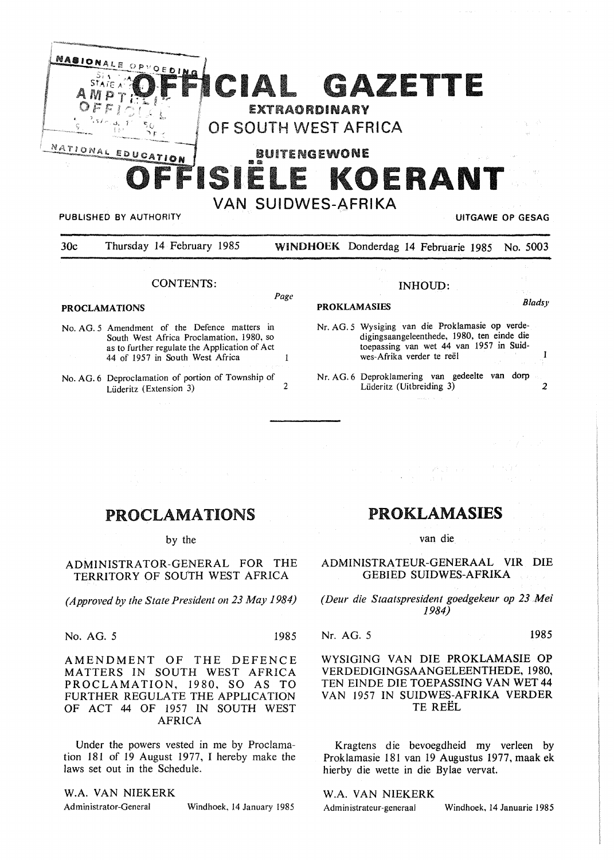

VAN SUIDWES-AFRIKA

#### PUBLISHED BY AUTHORITY **UITGAWE OP GESAG**

| 30c |  | Thursday 14 February 1985 |  | WINDHOEK Donderdag 14 Februarie 1985 No. 5003 |  |  |  |  |  |
|-----|--|---------------------------|--|-----------------------------------------------|--|--|--|--|--|
|     |  |                           |  |                                               |  |  |  |  |  |
|     |  |                           |  |                                               |  |  |  |  |  |

Page

 $\mathbf{1}$ 

# CONTENTS:

### **PROCLAMATIONS**

- No. AG. 5 Amendment of the Defence matters in South West Africa Proclamation, 1980, so as to further regulate the Application of Act 44 of 1957 in South West Africa
- No. AG. 6 Deproclamation of portion of Township of  $Lideritz$  (Extension 3) 2

| <b>PROKLAMASIES</b> | <b>Bladsy</b> |
|---------------------|---------------|

 $\mathbf{I}$ 

Nr. AG. 5 Wysiging van die Proklamasie op verdedigingsaangeleenthede, 1980, ten einde die toepassing van wet 44 van 1957 in Suidwes-Afrika verder te reël

INHOUD:

Nr. AG. 6 Deproklamering van gedeelte van dorp Lüderitz (Uitbreiding 3) 2

# PROCLAMATIONS

by the

ADMINISTRATOR-GENERAL FOR THE TERRITORY OF SOVTH WEST AFRICA

*(Approved by the State President on 23 May 1984)* 

No. AG. *5* 1985

AMENDMENT OF THE DEFENCE MATTERS IN SOUTH WEST AFRICA PROCLAMATION, 1980, SO AS TO FURTHER REGULATE THE APPLICATION OF ACT 44 OF 1957 IN SOUTH WEST AFRICA

Under the powers vested in me by Proclamation 181 of 19 August 1977, I hereby make the laws set out in the Schedule.

## **W.A. VAN NIEKERK**

Administrator-General Windhoek, 14 January 1985

# PROKLAMASIES

van die

ADMINISTRA TEUR-GENERAAL VIR DIE GEBIED SUIDWES-AFRIKA

*(Deur die Staatspresident goedgekeur op 23 Mei 1984)* 

#### Nr. AG. *5* 1985

## WYSIGING VAN DIE PROKLAMASIE OP VERDEDIGINGSAANGELEENTHEDE, 1980, TEN EINDE DIE TOEPASSING VAN WET 44 VAN 1957 IN SUIDWES-AFRIKA VERDER TE REEL

Kragtens die bevoegdheid my verleen by Proklamasie 181 van 19 Augustus 1977, maak ek hierby die wette in die Bylae vervat.

#### W.A. VAN NIEKERK

Administrateur-generaal Windhoek, 14 Januarie 1985